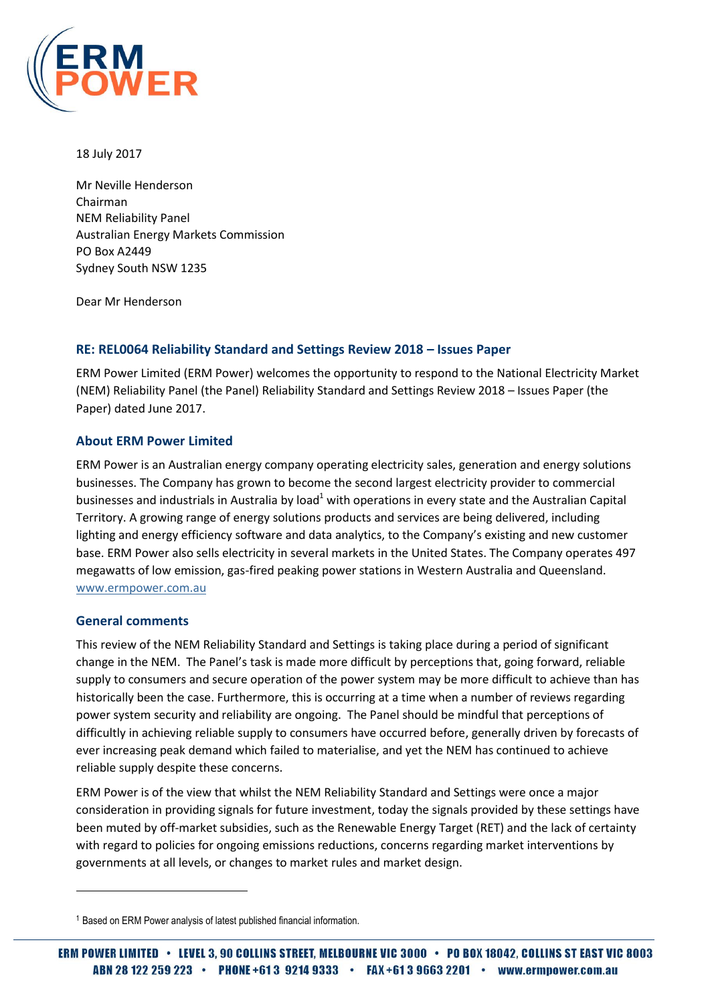

18 July 2017

Mr Neville Henderson Chairman NEM Reliability Panel Australian Energy Markets Commission PO Box A2449 Sydney South NSW 1235

Dear Mr Henderson

## **RE: REL0064 Reliability Standard and Settings Review 2018 – Issues Paper**

ERM Power Limited (ERM Power) welcomes the opportunity to respond to the National Electricity Market (NEM) Reliability Panel (the Panel) Reliability Standard and Settings Review 2018 – Issues Paper (the Paper) dated June 2017.

#### **About ERM Power Limited**

ERM Power is an Australian energy company operating electricity sales, generation and energy solutions businesses. The Company has grown to become the second largest electricity provider to commercial businesses and industrials in Australia by load<sup>1</sup> with operations in every state and the Australian Capital Territory. A growing range of energy solutions products and services are being delivered, including lighting and energy efficiency software and data analytics, to the Company's existing and new customer base. ERM Power also sells electricity in several markets in the United States. The Company operates 497 megawatts of low emission, gas-fired peaking power stations in Western Australia and Queensland. [www.ermpower.com.au](http://www.ermpower.com.au/)

#### **General comments**

 $\overline{\phantom{a}}$ 

This review of the NEM Reliability Standard and Settings is taking place during a period of significant change in the NEM. The Panel's task is made more difficult by perceptions that, going forward, reliable supply to consumers and secure operation of the power system may be more difficult to achieve than has historically been the case. Furthermore, this is occurring at a time when a number of reviews regarding power system security and reliability are ongoing. The Panel should be mindful that perceptions of difficultly in achieving reliable supply to consumers have occurred before, generally driven by forecasts of ever increasing peak demand which failed to materialise, and yet the NEM has continued to achieve reliable supply despite these concerns.

ERM Power is of the view that whilst the NEM Reliability Standard and Settings were once a major consideration in providing signals for future investment, today the signals provided by these settings have been muted by off-market subsidies, such as the Renewable Energy Target (RET) and the lack of certainty with regard to policies for ongoing emissions reductions, concerns regarding market interventions by governments at all levels, or changes to market rules and market design.

<sup>1</sup> Based on ERM Power analysis of latest published financial information.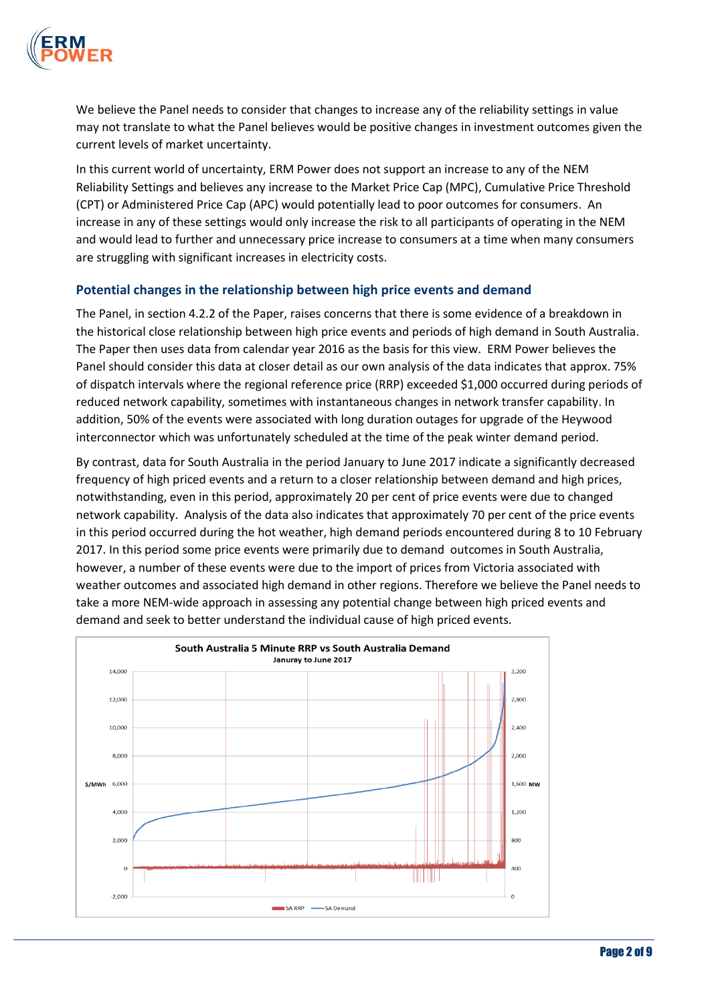

We believe the Panel needs to consider that changes to increase any of the reliability settings in value may not translate to what the Panel believes would be positive changes in investment outcomes given the current levels of market uncertainty.

In this current world of uncertainty, ERM Power does not support an increase to any of the NEM Reliability Settings and believes any increase to the Market Price Cap (MPC), Cumulative Price Threshold (CPT) or Administered Price Cap (APC) would potentially lead to poor outcomes for consumers. An increase in any of these settings would only increase the risk to all participants of operating in the NEM and would lead to further and unnecessary price increase to consumers at a time when many consumers are struggling with significant increases in electricity costs.

#### **Potential changes in the relationship between high price events and demand**

The Panel, in section 4.2.2 of the Paper, raises concerns that there is some evidence of a breakdown in the historical close relationship between high price events and periods of high demand in South Australia. The Paper then uses data from calendar year 2016 as the basis for this view. ERM Power believes the Panel should consider this data at closer detail as our own analysis of the data indicates that approx. 75% of dispatch intervals where the regional reference price (RRP) exceeded \$1,000 occurred during periods of reduced network capability, sometimes with instantaneous changes in network transfer capability. In addition, 50% of the events were associated with long duration outages for upgrade of the Heywood interconnector which was unfortunately scheduled at the time of the peak winter demand period.

By contrast, data for South Australia in the period January to June 2017 indicate a significantly decreased frequency of high priced events and a return to a closer relationship between demand and high prices, notwithstanding, even in this period, approximately 20 per cent of price events were due to changed network capability. Analysis of the data also indicates that approximately 70 per cent of the price events in this period occurred during the hot weather, high demand periods encountered during 8 to 10 February 2017. In this period some price events were primarily due to demand outcomes in South Australia, however, a number of these events were due to the import of prices from Victoria associated with weather outcomes and associated high demand in other regions. Therefore we believe the Panel needs to take a more NEM-wide approach in assessing any potential change between high priced events and demand and seek to better understand the individual cause of high priced events.

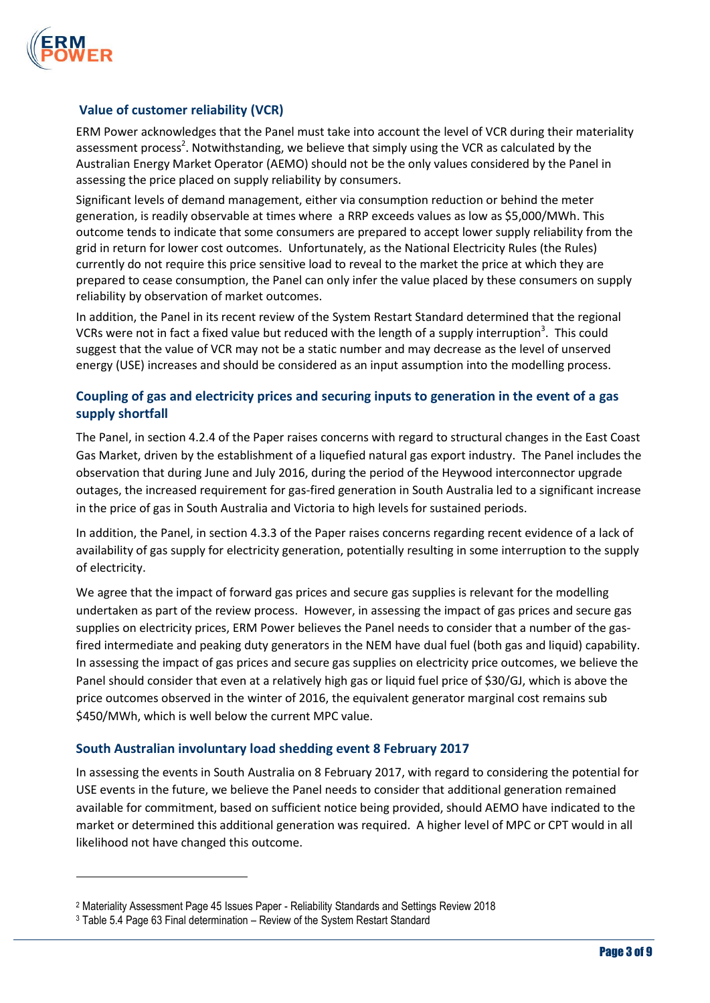

 $\overline{a}$ 

## **Value of customer reliability (VCR)**

ERM Power acknowledges that the Panel must take into account the level of VCR during their materiality assessment process<sup>2</sup>. Notwithstanding, we believe that simply using the VCR as calculated by the Australian Energy Market Operator (AEMO) should not be the only values considered by the Panel in assessing the price placed on supply reliability by consumers.

Significant levels of demand management, either via consumption reduction or behind the meter generation, is readily observable at times where a RRP exceeds values as low as \$5,000/MWh. This outcome tends to indicate that some consumers are prepared to accept lower supply reliability from the grid in return for lower cost outcomes. Unfortunately, as the National Electricity Rules (the Rules) currently do not require this price sensitive load to reveal to the market the price at which they are prepared to cease consumption, the Panel can only infer the value placed by these consumers on supply reliability by observation of market outcomes.

In addition, the Panel in its recent review of the System Restart Standard determined that the regional VCRs were not in fact a fixed value but reduced with the length of a supply interruption<sup>3</sup>. This could suggest that the value of VCR may not be a static number and may decrease as the level of unserved energy (USE) increases and should be considered as an input assumption into the modelling process.

# **Coupling of gas and electricity prices and securing inputs to generation in the event of a gas supply shortfall**

The Panel, in section 4.2.4 of the Paper raises concerns with regard to structural changes in the East Coast Gas Market, driven by the establishment of a liquefied natural gas export industry. The Panel includes the observation that during June and July 2016, during the period of the Heywood interconnector upgrade outages, the increased requirement for gas-fired generation in South Australia led to a significant increase in the price of gas in South Australia and Victoria to high levels for sustained periods.

In addition, the Panel, in section 4.3.3 of the Paper raises concerns regarding recent evidence of a lack of availability of gas supply for electricity generation, potentially resulting in some interruption to the supply of electricity.

We agree that the impact of forward gas prices and secure gas supplies is relevant for the modelling undertaken as part of the review process. However, in assessing the impact of gas prices and secure gas supplies on electricity prices, ERM Power believes the Panel needs to consider that a number of the gasfired intermediate and peaking duty generators in the NEM have dual fuel (both gas and liquid) capability. In assessing the impact of gas prices and secure gas supplies on electricity price outcomes, we believe the Panel should consider that even at a relatively high gas or liquid fuel price of \$30/GJ, which is above the price outcomes observed in the winter of 2016, the equivalent generator marginal cost remains sub \$450/MWh, which is well below the current MPC value.

## **South Australian involuntary load shedding event 8 February 2017**

In assessing the events in South Australia on 8 February 2017, with regard to considering the potential for USE events in the future, we believe the Panel needs to consider that additional generation remained available for commitment, based on sufficient notice being provided, should AEMO have indicated to the market or determined this additional generation was required. A higher level of MPC or CPT would in all likelihood not have changed this outcome.

<sup>2</sup> Materiality Assessment Page 45 Issues Paper - Reliability Standards and Settings Review 2018

<sup>3</sup> Table 5.4 Page 63 Final determination – Review of the System Restart Standard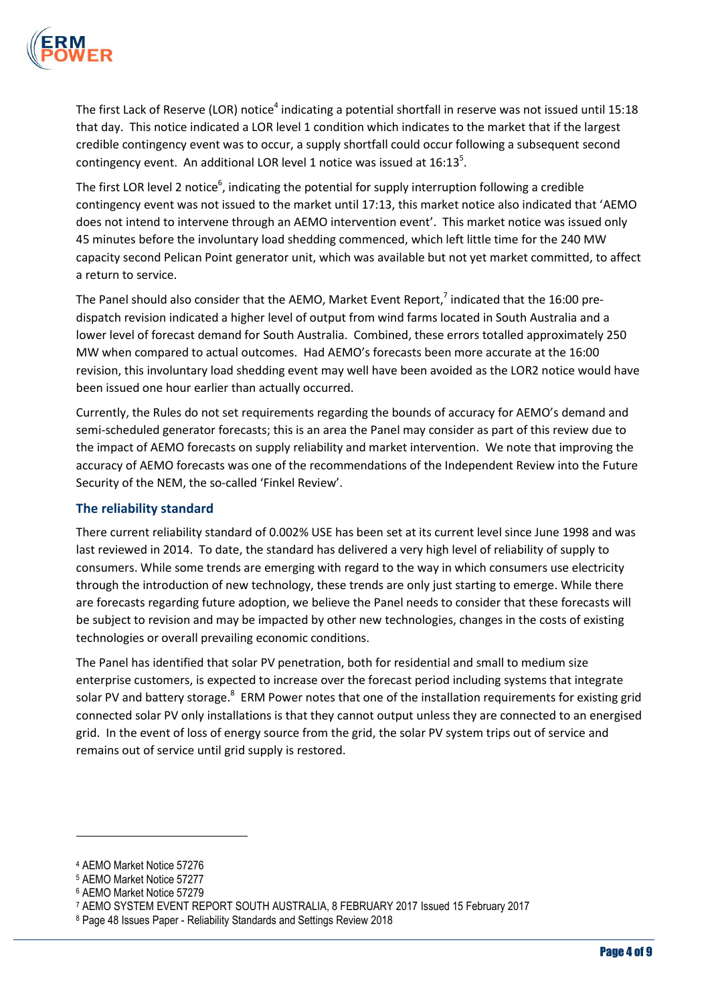

The first Lack of Reserve (LOR) notice<sup>4</sup> indicating a potential shortfall in reserve was not issued until 15:18 that day. This notice indicated a LOR level 1 condition which indicates to the market that if the largest credible contingency event was to occur, a supply shortfall could occur following a subsequent second contingency event. An additional LOR level 1 notice was issued at  $16:13^5$ .

The first LOR level 2 notice<sup>6</sup>, indicating the potential for supply interruption following a credible contingency event was not issued to the market until 17:13, this market notice also indicated that 'AEMO does not intend to intervene through an AEMO intervention event'. This market notice was issued only 45 minutes before the involuntary load shedding commenced, which left little time for the 240 MW capacity second Pelican Point generator unit, which was available but not yet market committed, to affect a return to service.

The Panel should also consider that the AEMO, Market Event Report,<sup>7</sup> indicated that the 16:00 predispatch revision indicated a higher level of output from wind farms located in South Australia and a lower level of forecast demand for South Australia. Combined, these errors totalled approximately 250 MW when compared to actual outcomes. Had AEMO's forecasts been more accurate at the 16:00 revision, this involuntary load shedding event may well have been avoided as the LOR2 notice would have been issued one hour earlier than actually occurred.

Currently, the Rules do not set requirements regarding the bounds of accuracy for AEMO's demand and semi-scheduled generator forecasts; this is an area the Panel may consider as part of this review due to the impact of AEMO forecasts on supply reliability and market intervention. We note that improving the accuracy of AEMO forecasts was one of the recommendations of the Independent Review into the Future Security of the NEM, the so-called 'Finkel Review'.

## **The reliability standard**

There current reliability standard of 0.002% USE has been set at its current level since June 1998 and was last reviewed in 2014. To date, the standard has delivered a very high level of reliability of supply to consumers. While some trends are emerging with regard to the way in which consumers use electricity through the introduction of new technology, these trends are only just starting to emerge. While there are forecasts regarding future adoption, we believe the Panel needs to consider that these forecasts will be subject to revision and may be impacted by other new technologies, changes in the costs of existing technologies or overall prevailing economic conditions.

The Panel has identified that solar PV penetration, both for residential and small to medium size enterprise customers, is expected to increase over the forecast period including systems that integrate solar PV and battery storage.<sup>8</sup> ERM Power notes that one of the installation requirements for existing grid connected solar PV only installations is that they cannot output unless they are connected to an energised grid. In the event of loss of energy source from the grid, the solar PV system trips out of service and remains out of service until grid supply is restored.

 $\overline{a}$ 

<sup>4</sup> AEMO Market Notice 57276

<sup>5</sup> AEMO Market Notice 57277

<sup>6</sup> AEMO Market Notice 57279

<sup>7</sup> AEMO SYSTEM EVENT REPORT SOUTH AUSTRALIA, 8 FEBRUARY 2017 Issued 15 February 2017

<sup>8</sup> Page 48 Issues Paper - Reliability Standards and Settings Review 2018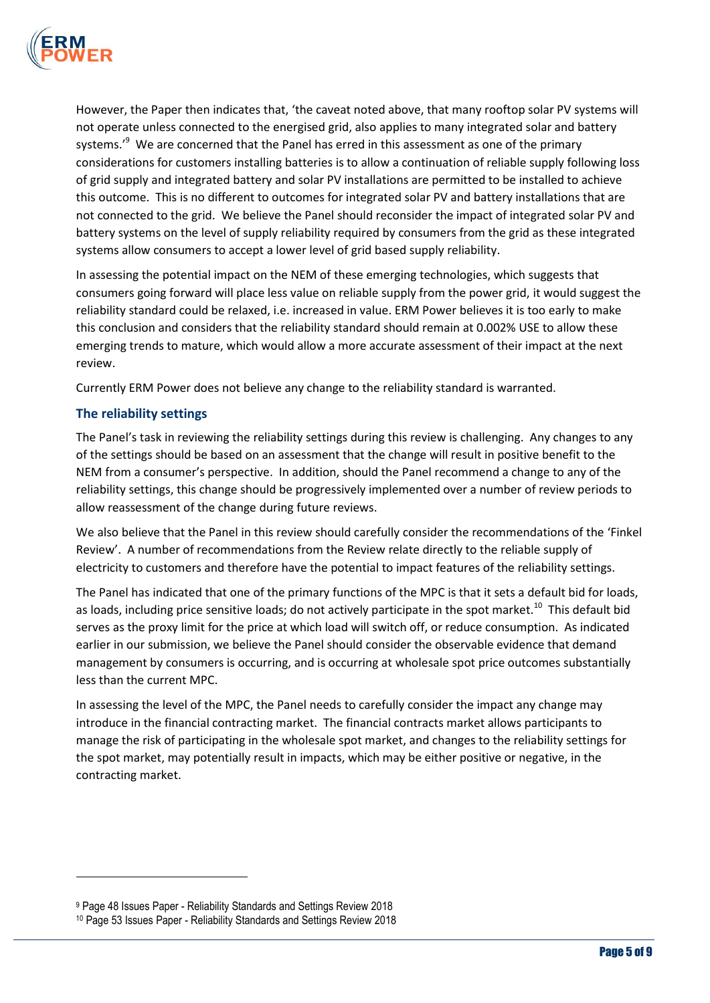

However, the Paper then indicates that, 'the caveat noted above, that many rooftop solar PV systems will not operate unless connected to the energised grid, also applies to many integrated solar and battery systems.'<sup>9</sup> We are concerned that the Panel has erred in this assessment as one of the primary considerations for customers installing batteries is to allow a continuation of reliable supply following loss of grid supply and integrated battery and solar PV installations are permitted to be installed to achieve this outcome. This is no different to outcomes for integrated solar PV and battery installations that are not connected to the grid. We believe the Panel should reconsider the impact of integrated solar PV and battery systems on the level of supply reliability required by consumers from the grid as these integrated systems allow consumers to accept a lower level of grid based supply reliability.

In assessing the potential impact on the NEM of these emerging technologies, which suggests that consumers going forward will place less value on reliable supply from the power grid, it would suggest the reliability standard could be relaxed, i.e. increased in value. ERM Power believes it is too early to make this conclusion and considers that the reliability standard should remain at 0.002% USE to allow these emerging trends to mature, which would allow a more accurate assessment of their impact at the next review.

Currently ERM Power does not believe any change to the reliability standard is warranted.

## **The reliability settings**

 $\overline{a}$ 

The Panel's task in reviewing the reliability settings during this review is challenging. Any changes to any of the settings should be based on an assessment that the change will result in positive benefit to the NEM from a consumer's perspective. In addition, should the Panel recommend a change to any of the reliability settings, this change should be progressively implemented over a number of review periods to allow reassessment of the change during future reviews.

We also believe that the Panel in this review should carefully consider the recommendations of the 'Finkel Review'. A number of recommendations from the Review relate directly to the reliable supply of electricity to customers and therefore have the potential to impact features of the reliability settings.

The Panel has indicated that one of the primary functions of the MPC is that it sets a default bid for loads, as loads, including price sensitive loads; do not actively participate in the spot market.<sup>10</sup> This default bid serves as the proxy limit for the price at which load will switch off, or reduce consumption. As indicated earlier in our submission, we believe the Panel should consider the observable evidence that demand management by consumers is occurring, and is occurring at wholesale spot price outcomes substantially less than the current MPC.

In assessing the level of the MPC, the Panel needs to carefully consider the impact any change may introduce in the financial contracting market. The financial contracts market allows participants to manage the risk of participating in the wholesale spot market, and changes to the reliability settings for the spot market, may potentially result in impacts, which may be either positive or negative, in the contracting market.

<sup>9</sup> Page 48 Issues Paper - Reliability Standards and Settings Review 2018

<sup>10</sup> Page 53 Issues Paper - Reliability Standards and Settings Review 2018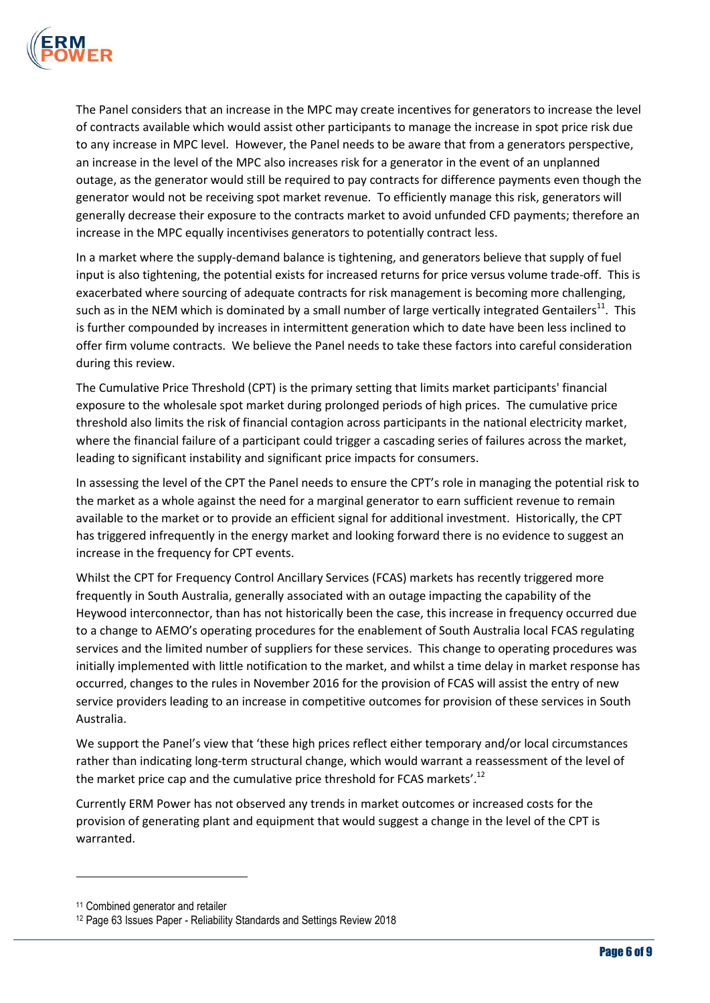

The Panel considers that an increase in the MPC may create incentives for generators to increase the level of contracts available which would assist other participants to manage the increase in spot price risk due to any increase in MPC level. However, the Panel needs to be aware that from a generators perspective, an increase in the level of the MPC also increases risk for a generator in the event of an unplanned outage, as the generator would still be required to pay contracts for difference payments even though the generator would not be receiving spot market revenue. To efficiently manage this risk, generators will generally decrease their exposure to the contracts market to avoid unfunded CFD payments; therefore an increase in the MPC equally incentivises generators to potentially contract less.

In a market where the supply-demand balance is tightening, and generators believe that supply of fuel input is also tightening, the potential exists for increased returns for price versus volume trade-off. This is exacerbated where sourcing of adequate contracts for risk management is becoming more challenging, such as in the NEM which is dominated by a small number of large vertically integrated Gentailers<sup>11</sup>. This is further compounded by increases in intermittent generation which to date have been less inclined to offer firm volume contracts. We believe the Panel needs to take these factors into careful consideration during this review.

The Cumulative Price Threshold (CPT) is the primary setting that limits market participants' financial exposure to the wholesale spot market during prolonged periods of high prices. The cumulative price threshold also limits the risk of financial contagion across participants in the national electricity market, where the financial failure of a participant could trigger a cascading series of failures across the market, leading to significant instability and significant price impacts for consumers.

In assessing the level of the CPT the Panel needs to ensure the CPT's role in managing the potential risk to the market as a whole against the need for a marginal generator to earn sufficient revenue to remain available to the market or to provide an efficient signal for additional investment. Historically, the CPT has triggered infrequently in the energy market and looking forward there is no evidence to suggest an increase in the frequency for CPT events.

Whilst the CPT for Frequency Control Ancillary Services (FCAS) markets has recently triggered more frequently in South Australia, generally associated with an outage impacting the capability of the Heywood interconnector, than has not historically been the case, this increase in frequency occurred due to a change to AEMO's operating procedures for the enablement of South Australia local FCAS regulating services and the limited number of suppliers for these services. This change to operating procedures was initially implemented with little notification to the market, and whilst a time delay in market response has occurred, changes to the rules in November 2016 for the provision of FCAS will assist the entry of new service providers leading to an increase in competitive outcomes for provision of these services in South Australia.

We support the Panel's view that 'these high prices reflect either temporary and/or local circumstances rather than indicating long-term structural change, which would warrant a reassessment of the level of the market price cap and the cumulative price threshold for FCAS markets'.<sup>12</sup>

Currently ERM Power has not observed any trends in market outcomes or increased costs for the provision of generating plant and equipment that would suggest a change in the level of the CPT is warranted.

 $\overline{a}$ 

<sup>&</sup>lt;sup>11</sup> Combined generator and retailer

<sup>12</sup> Page 63 Issues Paper - Reliability Standards and Settings Review 2018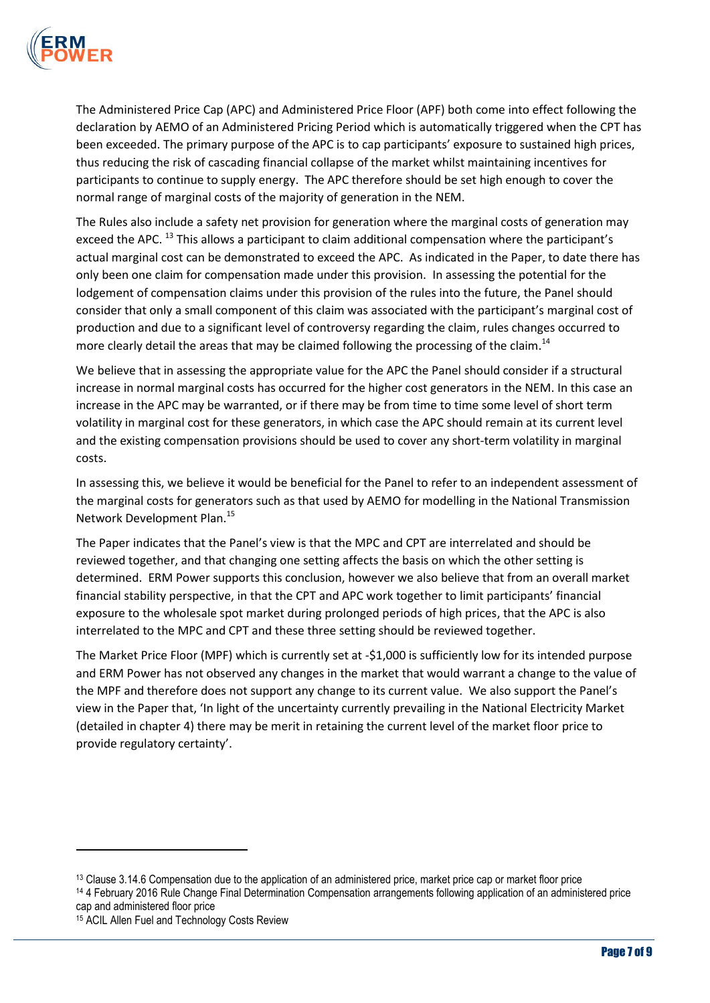

The Administered Price Cap (APC) and Administered Price Floor (APF) both come into effect following the declaration by AEMO of an Administered Pricing Period which is automatically triggered when the CPT has been exceeded. The primary purpose of the APC is to cap participants' exposure to sustained high prices, thus reducing the risk of cascading financial collapse of the market whilst maintaining incentives for participants to continue to supply energy. The APC therefore should be set high enough to cover the normal range of marginal costs of the majority of generation in the NEM.

The Rules also include a safety net provision for generation where the marginal costs of generation may exceed the APC.<sup>13</sup> This allows a participant to claim additional compensation where the participant's actual marginal cost can be demonstrated to exceed the APC. As indicated in the Paper, to date there has only been one claim for compensation made under this provision. In assessing the potential for the lodgement of compensation claims under this provision of the rules into the future, the Panel should consider that only a small component of this claim was associated with the participant's marginal cost of production and due to a significant level of controversy regarding the claim, rules changes occurred to more clearly detail the areas that may be claimed following the processing of the claim.<sup>14</sup>

We believe that in assessing the appropriate value for the APC the Panel should consider if a structural increase in normal marginal costs has occurred for the higher cost generators in the NEM. In this case an increase in the APC may be warranted, or if there may be from time to time some level of short term volatility in marginal cost for these generators, in which case the APC should remain at its current level and the existing compensation provisions should be used to cover any short-term volatility in marginal costs.

In assessing this, we believe it would be beneficial for the Panel to refer to an independent assessment of the marginal costs for generators such as that used by AEMO for modelling in the National Transmission Network Development Plan.<sup>15</sup>

The Paper indicates that the Panel's view is that the MPC and CPT are interrelated and should be reviewed together, and that changing one setting affects the basis on which the other setting is determined. ERM Power supports this conclusion, however we also believe that from an overall market financial stability perspective, in that the CPT and APC work together to limit participants' financial exposure to the wholesale spot market during prolonged periods of high prices, that the APC is also interrelated to the MPC and CPT and these three setting should be reviewed together.

The Market Price Floor (MPF) which is currently set at -\$1,000 is sufficiently low for its intended purpose and ERM Power has not observed any changes in the market that would warrant a change to the value of the MPF and therefore does not support any change to its current value. We also support the Panel's view in the Paper that, 'In light of the uncertainty currently prevailing in the National Electricity Market (detailed in chapter 4) there may be merit in retaining the current level of the market floor price to provide regulatory certainty'.

 $\overline{\phantom{a}}$ 

<sup>&</sup>lt;sup>13</sup> Clause 3.14.6 Compensation due to the application of an administered price, market price cap or market floor price <sup>14</sup> 4 February 2016 Rule Change Final Determination Compensation arrangements following application of an administered price cap and administered floor price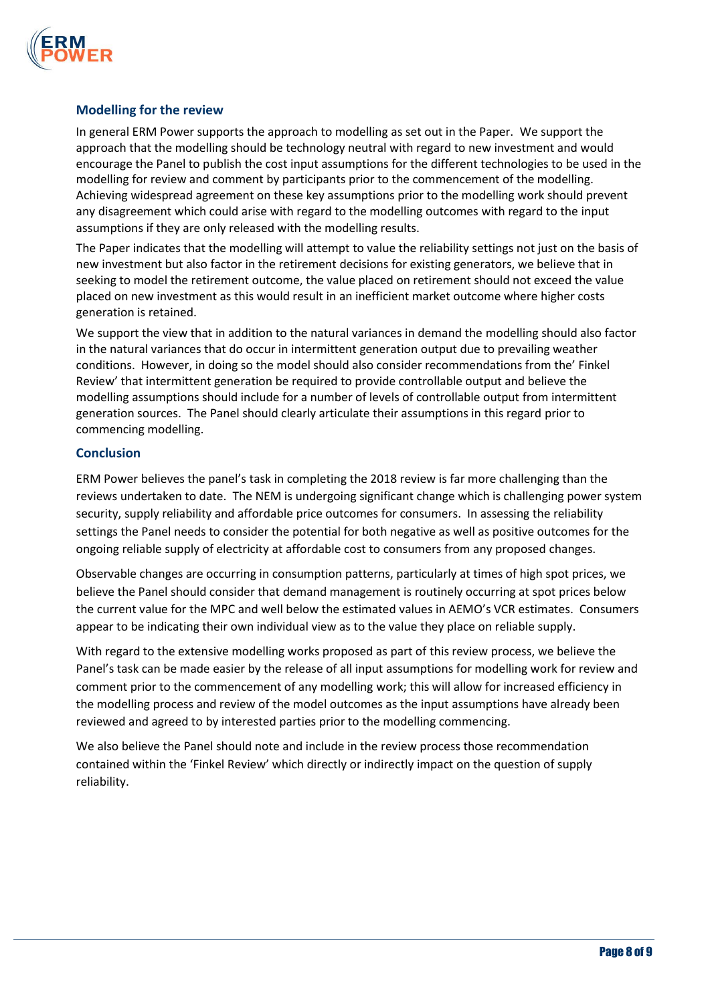

#### **Modelling for the review**

In general ERM Power supports the approach to modelling as set out in the Paper. We support the approach that the modelling should be technology neutral with regard to new investment and would encourage the Panel to publish the cost input assumptions for the different technologies to be used in the modelling for review and comment by participants prior to the commencement of the modelling. Achieving widespread agreement on these key assumptions prior to the modelling work should prevent any disagreement which could arise with regard to the modelling outcomes with regard to the input assumptions if they are only released with the modelling results.

The Paper indicates that the modelling will attempt to value the reliability settings not just on the basis of new investment but also factor in the retirement decisions for existing generators, we believe that in seeking to model the retirement outcome, the value placed on retirement should not exceed the value placed on new investment as this would result in an inefficient market outcome where higher costs generation is retained.

We support the view that in addition to the natural variances in demand the modelling should also factor in the natural variances that do occur in intermittent generation output due to prevailing weather conditions. However, in doing so the model should also consider recommendations from the' Finkel Review' that intermittent generation be required to provide controllable output and believe the modelling assumptions should include for a number of levels of controllable output from intermittent generation sources. The Panel should clearly articulate their assumptions in this regard prior to commencing modelling.

#### **Conclusion**

ERM Power believes the panel's task in completing the 2018 review is far more challenging than the reviews undertaken to date. The NEM is undergoing significant change which is challenging power system security, supply reliability and affordable price outcomes for consumers. In assessing the reliability settings the Panel needs to consider the potential for both negative as well as positive outcomes for the ongoing reliable supply of electricity at affordable cost to consumers from any proposed changes.

Observable changes are occurring in consumption patterns, particularly at times of high spot prices, we believe the Panel should consider that demand management is routinely occurring at spot prices below the current value for the MPC and well below the estimated values in AEMO's VCR estimates. Consumers appear to be indicating their own individual view as to the value they place on reliable supply.

With regard to the extensive modelling works proposed as part of this review process, we believe the Panel's task can be made easier by the release of all input assumptions for modelling work for review and comment prior to the commencement of any modelling work; this will allow for increased efficiency in the modelling process and review of the model outcomes as the input assumptions have already been reviewed and agreed to by interested parties prior to the modelling commencing.

We also believe the Panel should note and include in the review process those recommendation contained within the 'Finkel Review' which directly or indirectly impact on the question of supply reliability.